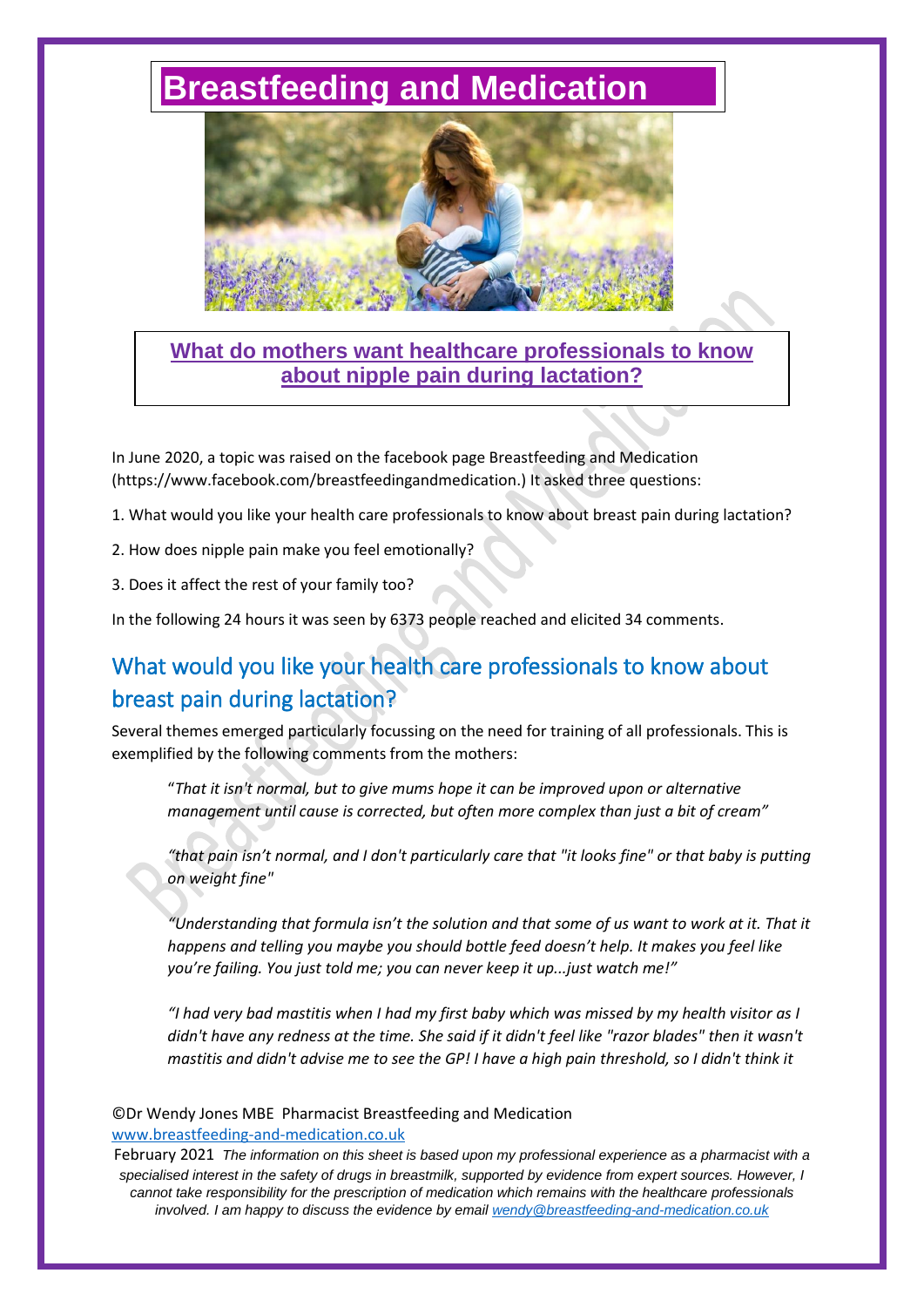# **[Breastfeeding and Medication](http://www.breastfeeding-and-medication.co.uk/)**



**What do mothers want healthcare professionals to know about nipple pain during lactation?**

In June 2020, a topic was raised on the facebook page Breastfeeding and Medication (https://www.facebook.com/breastfeedingandmedication.) It asked three questions:

- 1. What would you like your health care professionals to know about breast pain during lactation?
- 2. How does nipple pain make you feel emotionally?
- 3. Does it affect the rest of your family too?

In the following 24 hours it was seen by 6373 people reached and elicited 34 comments.

# What would you like your health care professionals to know about breast pain during lactation?

Several themes emerged particularly focussing on the need for training of all professionals. This is exemplified by the following comments from the mothers:

"*That it isn't normal, but to give mums hope it can be improved upon or alternative management until cause is corrected, but often more complex than just a bit of cream"*

*"that pain isn't normal, and I don't particularly care that "it looks fine" or that baby is putting on weight fine"*

*"Understanding that formula isn't the solution and that some of us want to work at it. That it happens and telling you maybe you should bottle feed doesn't help. It makes you feel like you're failing. You just told me; you can never keep it up...just watch me!"*

*"I had very bad mastitis when I had my first baby which was missed by my health visitor as I didn't have any redness at the time. She said if it didn't feel like "razor blades" then it wasn't mastitis and didn't advise me to see the GP! I have a high pain threshold, so I didn't think it* 

#### ©Dr Wendy Jones MBE Pharmacist Breastfeeding and Medication [www.breastfeeding-and-medication.co.uk](http://www.breastfeeding-and-medication.co.uk/)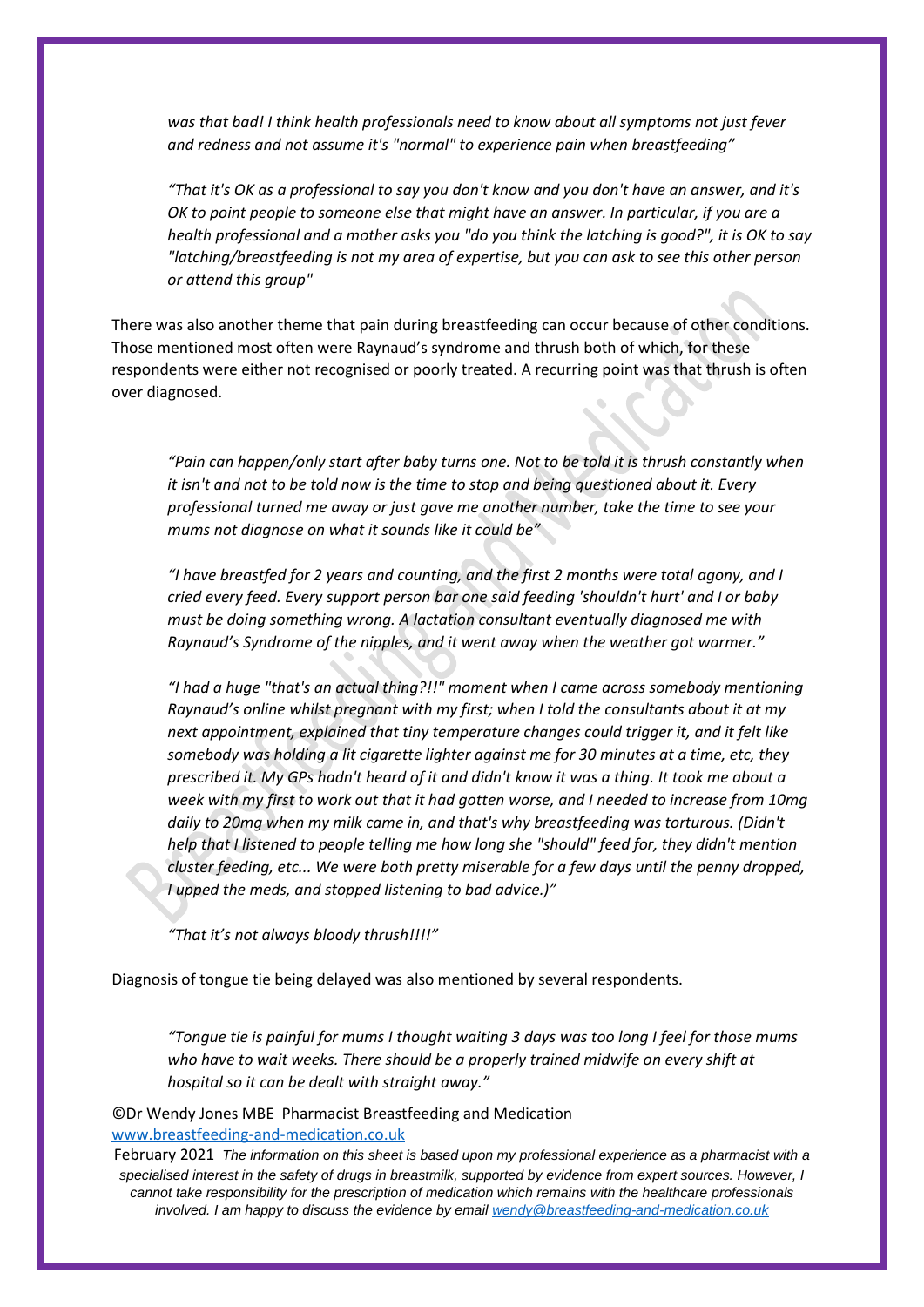*was that bad! I think health professionals need to know about all symptoms not just fever and redness and not assume it's "normal" to experience pain when breastfeeding"*

*"That it's OK as a professional to say you don't know and you don't have an answer, and it's OK to point people to someone else that might have an answer. In particular, if you are a health professional and a mother asks you "do you think the latching is good?", it is OK to say "latching/breastfeeding is not my area of expertise, but you can ask to see this other person or attend this group"*

There was also another theme that pain during breastfeeding can occur because of other conditions. Those mentioned most often were Raynaud's syndrome and thrush both of which, for these respondents were either not recognised or poorly treated. A recurring point was that thrush is often over diagnosed.

*"Pain can happen/only start after baby turns one. Not to be told it is thrush constantly when it isn't and not to be told now is the time to stop and being questioned about it. Every professional turned me away or just gave me another number, take the time to see your mums not diagnose on what it sounds like it could be"*

*"I have breastfed for 2 years and counting, and the first 2 months were total agony, and I cried every feed. Every support person bar one said feeding 'shouldn't hurt' and I or baby must be doing something wrong. A lactation consultant eventually diagnosed me with Raynaud's Syndrome of the nipples, and it went away when the weather got warmer."*

*"I had a huge "that's an actual thing?!!" moment when I came across somebody mentioning Raynaud's online whilst pregnant with my first; when I told the consultants about it at my next appointment, explained that tiny temperature changes could trigger it, and it felt like somebody was holding a lit cigarette lighter against me for 30 minutes at a time, etc, they prescribed it. My GPs hadn't heard of it and didn't know it was a thing. It took me about a week with my first to work out that it had gotten worse, and I needed to increase from 10mg daily to 20mg when my milk came in, and that's why breastfeeding was torturous. (Didn't help that I listened to people telling me how long she "should" feed for, they didn't mention cluster feeding, etc... We were both pretty miserable for a few days until the penny dropped, I upped the meds, and stopped listening to bad advice.)"*

*"That it's not always bloody thrush!!!!"*

Diagnosis of tongue tie being delayed was also mentioned by several respondents.

*"Tongue tie is painful for mums I thought waiting 3 days was too long I feel for those mums who have to wait weeks. There should be a properly trained midwife on every shift at hospital so it can be dealt with straight away."*

©Dr Wendy Jones MBE Pharmacist Breastfeeding and Medication [www.breastfeeding-and-medication.co.uk](http://www.breastfeeding-and-medication.co.uk/)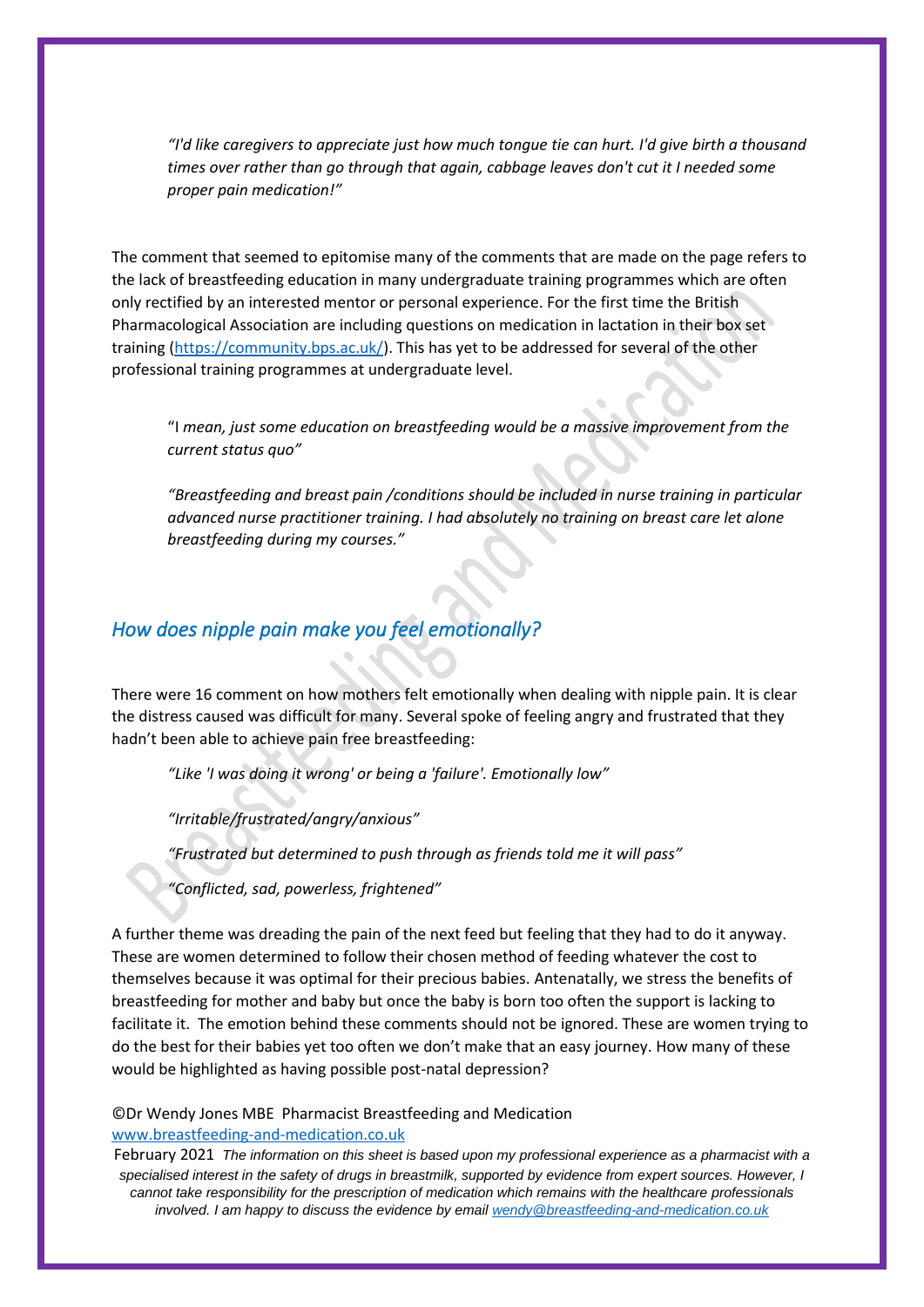*"I'd like caregivers to appreciate just how much tongue tie can hurt. I'd give birth a thousand times over rather than go through that again, cabbage leaves don't cut it I needed some proper pain medication!"*

The comment that seemed to epitomise many of the comments that are made on the page refers to the lack of breastfeeding education in many undergraduate training programmes which are often only rectified by an interested mentor or personal experience. For the first time the British Pharmacological Association are including questions on medication in lactation in their box set training [\(https://community.bps.ac.uk/\)](https://community.bps.ac.uk/). This has yet to be addressed for several of the other professional training programmes at undergraduate level.

"I *mean, just some education on breastfeeding would be a massive improvement from the current status quo"*

*"Breastfeeding and breast pain /conditions should be included in nurse training in particular advanced nurse practitioner training. I had absolutely no training on breast care let alone breastfeeding during my courses."*

### *How does nipple pain make you feel emotionally?*

There were 16 comment on how mothers felt emotionally when dealing with nipple pain. It is clear the distress caused was difficult for many. Several spoke of feeling angry and frustrated that they hadn't been able to achieve pain free breastfeeding:

*"Like 'I was doing it wrong' or being a 'failure'. Emotionally low"*

*"Irritable/frustrated/angry/anxious"*

*"Frustrated but determined to push through as friends told me it will pass"*

*"Conflicted, sad, powerless, frightened"*

A further theme was dreading the pain of the next feed but feeling that they had to do it anyway. These are women determined to follow their chosen method of feeding whatever the cost to themselves because it was optimal for their precious babies. Antenatally, we stress the benefits of breastfeeding for mother and baby but once the baby is born too often the support is lacking to facilitate it. The emotion behind these comments should not be ignored. These are women trying to do the best for their babies yet too often we don't make that an easy journey. How many of these would be highlighted as having possible post-natal depression?

#### ©Dr Wendy Jones MBE Pharmacist Breastfeeding and Medication [www.breastfeeding-and-medication.co.uk](http://www.breastfeeding-and-medication.co.uk/)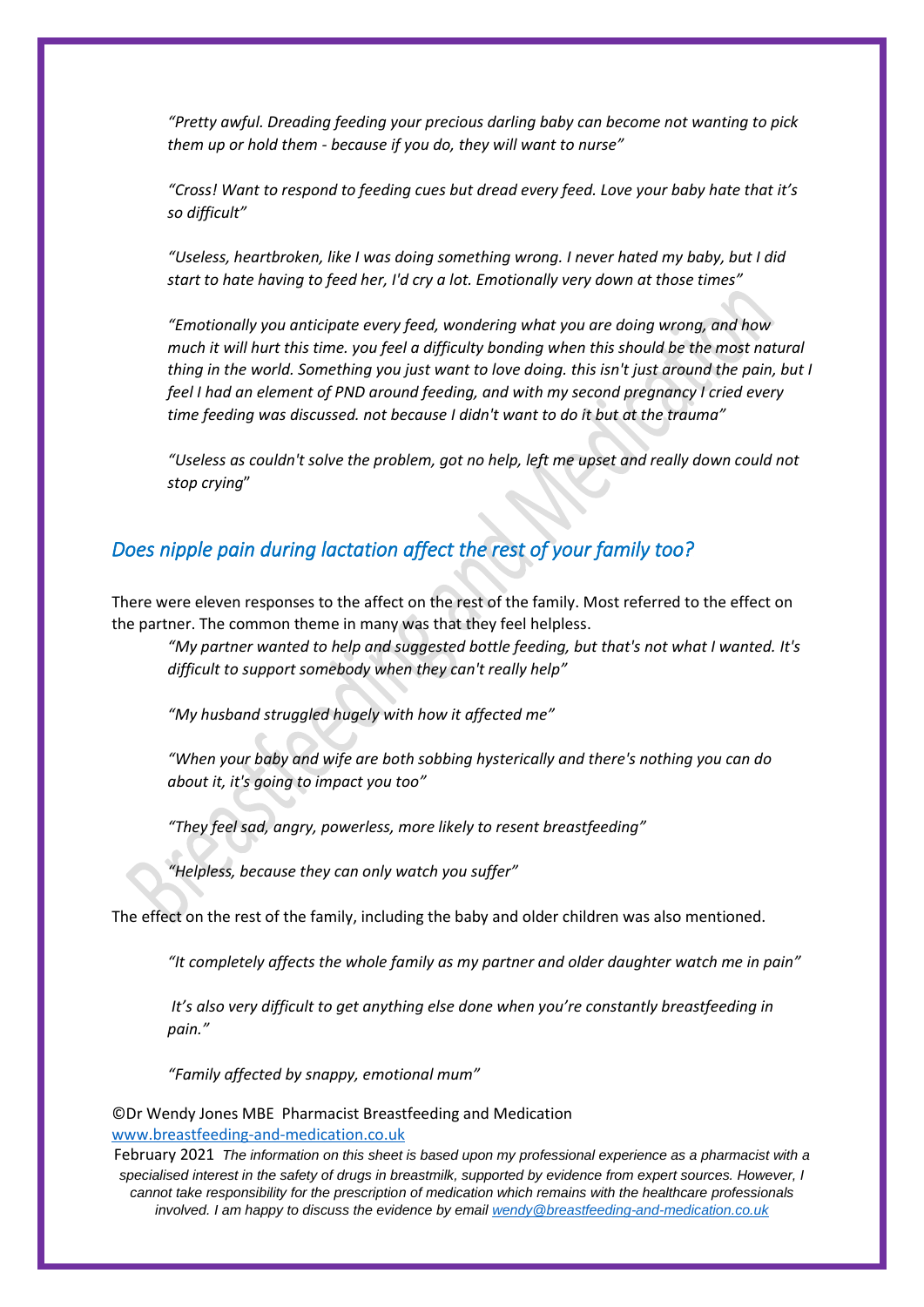*"Pretty awful. Dreading feeding your precious darling baby can become not wanting to pick them up or hold them - because if you do, they will want to nurse"*

*"Cross! Want to respond to feeding cues but dread every feed. Love your baby hate that it's so difficult"*

*"Useless, heartbroken, like I was doing something wrong. I never hated my baby, but I did start to hate having to feed her, I'd cry a lot. Emotionally very down at those times"*

*"Emotionally you anticipate every feed, wondering what you are doing wrong, and how much it will hurt this time. you feel a difficulty bonding when this should be the most natural thing in the world. Something you just want to love doing. this isn't just around the pain, but I feel I had an element of PND around feeding, and with my second pregnancy I cried every time feeding was discussed. not because I didn't want to do it but at the trauma"*

*"Useless as couldn't solve the problem, got no help, left me upset and really down could not stop crying*"

## *Does nipple pain during lactation affect the rest of your family too?*

There were eleven responses to the affect on the rest of the family. Most referred to the effect on the partner. The common theme in many was that they feel helpless.

*"My partner wanted to help and suggested bottle feeding, but that's not what I wanted. It's difficult to support somebody when they can't really help"*

*"My husband struggled hugely with how it affected me"*

*"When your baby and wife are both sobbing hysterically and there's nothing you can do about it, it's going to impact you too"*

*"They feel sad, angry, powerless, more likely to resent breastfeeding"*

*"Helpless, because they can only watch you suffer"*

The effect on the rest of the family, including the baby and older children was also mentioned.

*"It completely affects the whole family as my partner and older daughter watch me in pain"*

*It's also very difficult to get anything else done when you're constantly breastfeeding in pain."*

*"Family affected by snappy, emotional mum"*

©Dr Wendy Jones MBE Pharmacist Breastfeeding and Medication [www.breastfeeding-and-medication.co.uk](http://www.breastfeeding-and-medication.co.uk/)